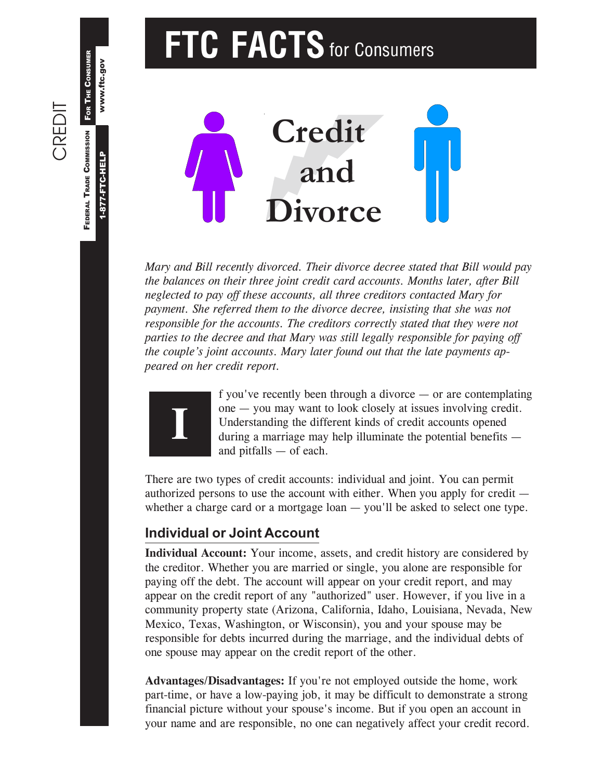# **FTC FACTS** for Consumers



*Mary and Bill recently divorced. Their divorce decree stated that Bill would pay the balances on their three joint credit card accounts. Months later, after Bill neglected to pay off these accounts, all three creditors contacted Mary for payment. She referred them to the divorce decree, insisting that she was not responsible for the accounts. The creditors correctly stated that they were not parties to the decree and that Mary was still legally responsible for paying off the couple's joint accounts. Mary later found out that the late payments appeared on her credit report.*



f you've recently been through a divorce — or are contemplating one — you may want to look closely at issues involving credit. Understanding the different kinds of credit accounts opened during a marriage may help illuminate the potential benefits and pitfalls — of each.

There are two types of credit accounts: individual and joint. You can permit authorized persons to use the account with either. When you apply for credit whether a charge card or a mortgage loan — you'll be asked to select one type.

#### **Individual or Joint Account**

**Individual Account:** Your income, assets, and credit history are considered by the creditor. Whether you are married or single, you alone are responsible for paying off the debt. The account will appear on your credit report, and may appear on the credit report of any "authorized" user. However, if you live in a community property state (Arizona, California, Idaho, Louisiana, Nevada, New Mexico, Texas, Washington, or Wisconsin), you and your spouse may be responsible for debts incurred during the marriage, and the individual debts of one spouse may appear on the credit report of the other.

**Advantages/Disadvantages:** If you're not employed outside the home, work part-time, or have a low-paying job, it may be difficult to demonstrate a strong financial picture without your spouse's income. But if you open an account in your name and are responsible, no one can negatively affect your credit record.

1-877-FTC-HELP

1-877-FTC-HELP

www.ftc.gov

www.ftc.gov